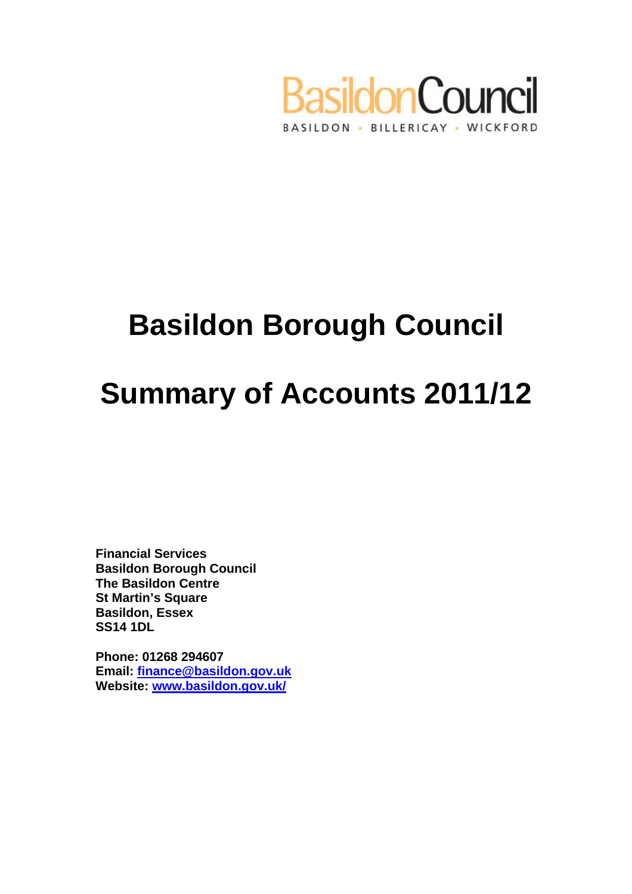

# **Basildon Borough Council**

# **Summary of Accounts 2011/12**

**Financial Services Basildon Borough Council The Basildon Centre St Martin's Square Basildon, Essex SS14 1DL** 

**Phone: 01268 294607 Email: [finance@basildon.gov.uk](mailto:finance@basildon.gov.ukailto:) Website: [www.basildon.gov.uk/](http://www.basildon.gov.uk/)**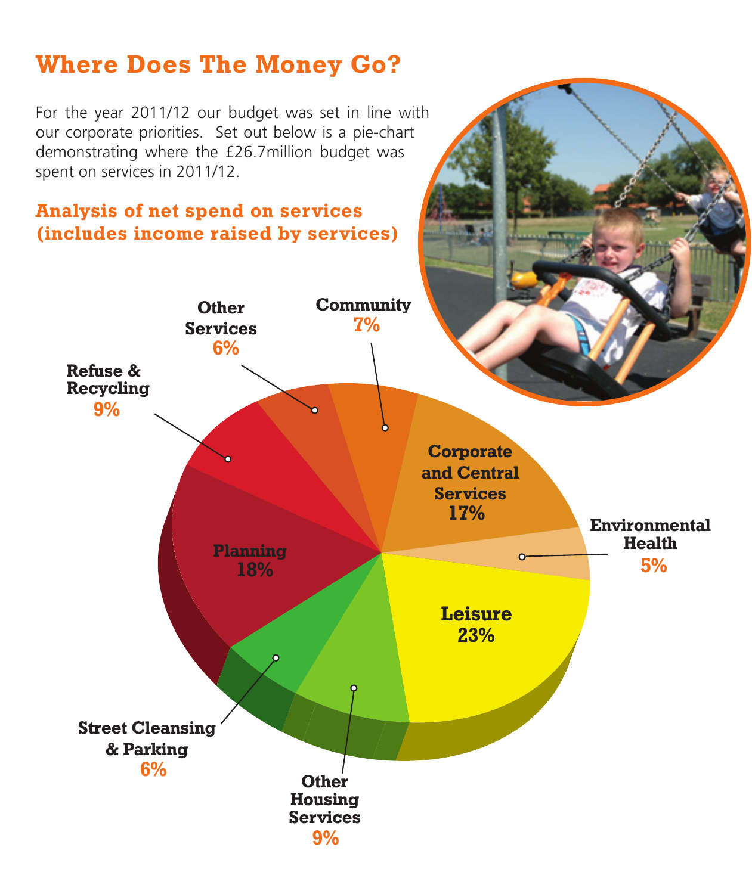### **Where Does The Money Go?**

For the year 2011/12 our budget was set in line with our corporate priorities. Set out below is a pie-chart demonstrating where the £26.7million budget was spent on services in 2011/12.

#### **Analysis of net spend on services (includes income raised by services)**

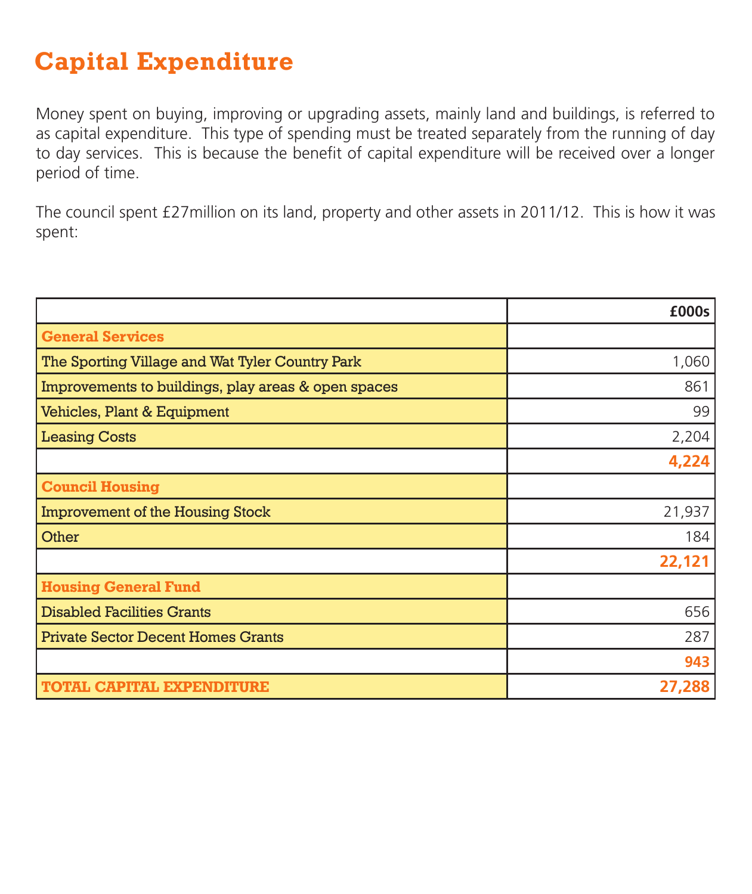# **Capital Expenditure**

Money spent on buying, improving or upgrading assets, mainly land and buildings, is referred to as capital expenditure. This type of spending must be treated separately from the running of day to day services. This is because the benefit of capital expenditure will be received over a longer period of time.

The council spent £27million on its land, property and other assets in 2011/12. This is how it was spent:

|                                                     | £000s  |
|-----------------------------------------------------|--------|
| <b>General Services</b>                             |        |
| The Sporting Village and Wat Tyler Country Park     | 1,060  |
| Improvements to buildings, play areas & open spaces | 861    |
| Vehicles, Plant & Equipment                         | 99     |
| <b>Leasing Costs</b>                                | 2,204  |
|                                                     | 4,224  |
| <b>Council Housing</b>                              |        |
| <b>Improvement of the Housing Stock</b>             | 21,937 |
| Other                                               | 184    |
|                                                     | 22,121 |
| <b>Housing General Fund</b>                         |        |
| <b>Disabled Facilities Grants</b>                   | 656    |
| <b>Private Sector Decent Homes Grants</b>           | 287    |
|                                                     | 943    |
| <b>TOTAL CAPITAL EXPENDITURE</b>                    | 27,288 |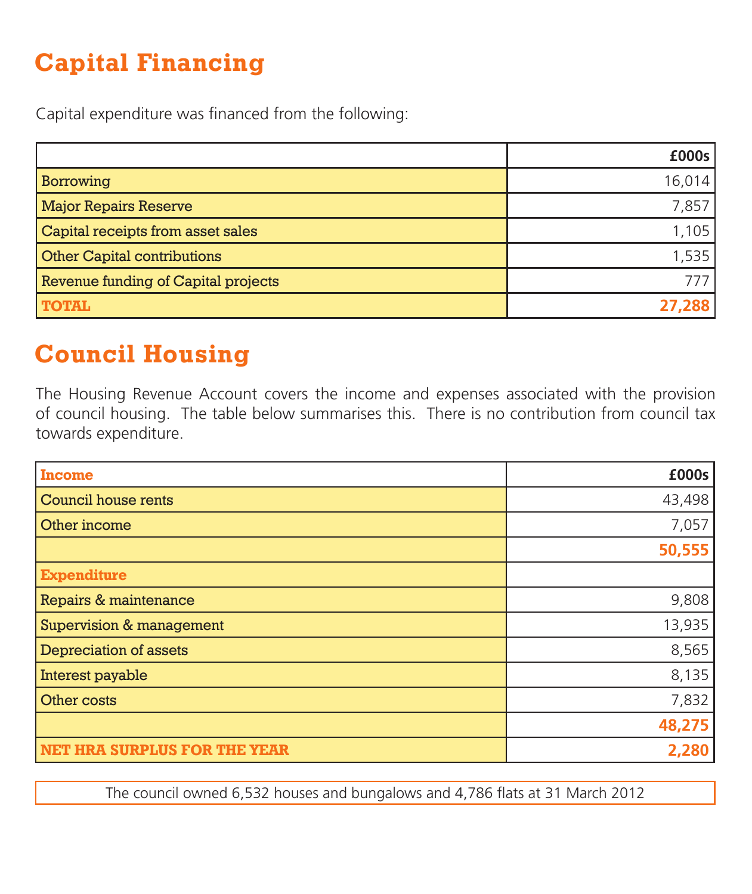# **Capital Financing**

Capital expenditure was financed from the following:

|                                     | £000s  |
|-------------------------------------|--------|
| <b>Borrowing</b>                    | 16,014 |
| <b>Major Repairs Reserve</b>        | 7,857  |
| Capital receipts from asset sales   | 1,105  |
| <b>Other Capital contributions</b>  | 1,535  |
| Revenue funding of Capital projects | 777    |
| <b>TOTAL</b>                        | 27,288 |

# **Council Housing**

The Housing Revenue Account covers the income and expenses associated with the provision of council housing. The table below summarises this. There is no contribution from council tax towards expenditure.

| <b>Income</b>                       | £000s  |
|-------------------------------------|--------|
| Council house rents                 | 43,498 |
| Other income                        | 7,057  |
|                                     | 50,555 |
| <b>Expenditure</b>                  |        |
| Repairs & maintenance               | 9,808  |
| <b>Supervision &amp; management</b> | 13,935 |
| <b>Depreciation of assets</b>       | 8,565  |
| Interest payable                    | 8,135  |
| Other costs                         | 7,832  |
|                                     | 48,275 |
| <b>NET HRA SURPLUS FOR THE YEAR</b> | 2,280  |

The council owned 6,532 houses and bungalows and 4,786 flats at 31 March 2012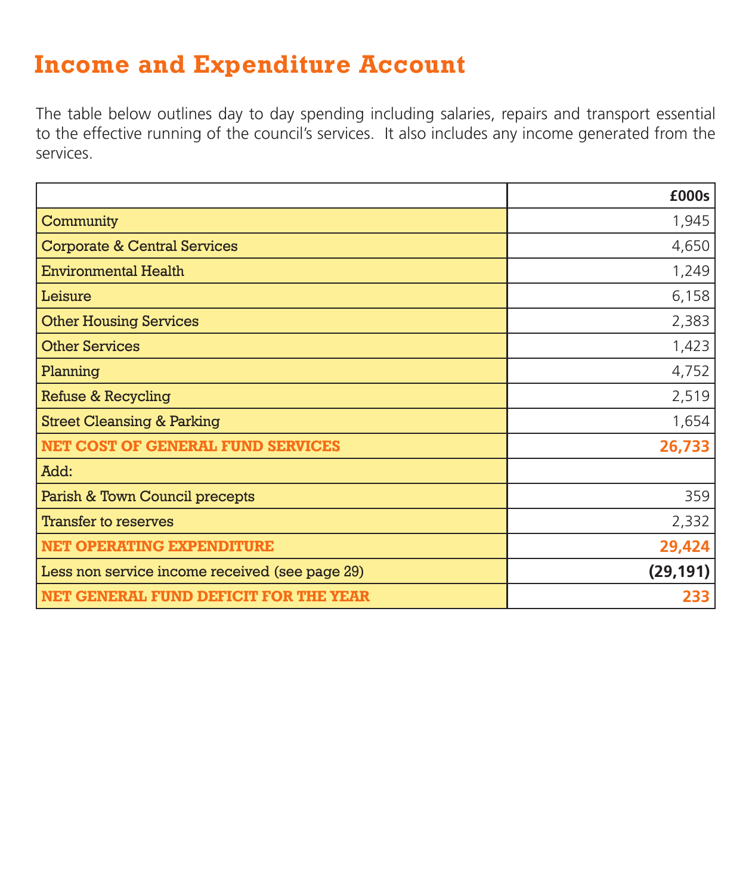### **Income and Expenditure Account**

The table below outlines day to day spending including salaries, repairs and transport essential to the effective running of the council's services. It also includes any income generated from the services.

|                                                | £000s     |
|------------------------------------------------|-----------|
| Community                                      | 1,945     |
| <b>Corporate &amp; Central Services</b>        | 4,650     |
| <b>Environmental Health</b>                    | 1,249     |
| Leisure                                        | 6,158     |
| <b>Other Housing Services</b>                  | 2,383     |
| <b>Other Services</b>                          | 1,423     |
| Planning                                       | 4,752     |
| <b>Refuse &amp; Recycling</b>                  | 2,519     |
| <b>Street Cleansing &amp; Parking</b>          | 1,654     |
| <b>NET COST OF GENERAL FUND SERVICES</b>       | 26,733    |
| Add:                                           |           |
| Parish & Town Council precepts                 | 359       |
| <b>Transfer to reserves</b>                    | 2,332     |
| <b>NET OPERATING EXPENDITURE</b>               | 29,424    |
| Less non service income received (see page 29) | (29, 191) |
| NET GENERAL FUND DEFICIT FOR THE YEAR          | 233       |